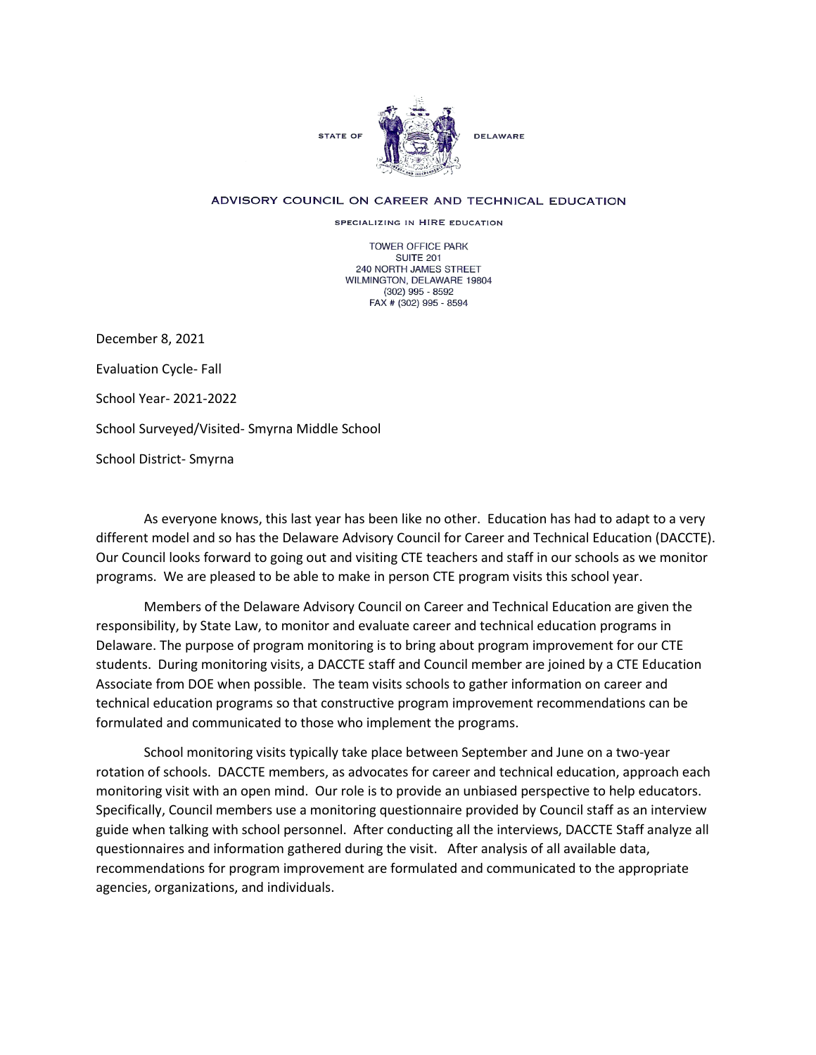

## ADVISORY COUNCIL ON CAREER AND TECHNICAL EDUCATION

SPECIALIZING IN HIRE EDUCATION

TOWER OFFICE PARK SUITE 201 240 NORTH JAMES STREET WILMINGTON, DELAWARE 19804 (302) 995 - 8592 FAX # (302) 995 - 8594

December 8, 2021 Evaluation Cycle- Fall School Year- 2021-2022 School Surveyed/Visited- Smyrna Middle School School District- Smyrna

As everyone knows, this last year has been like no other. Education has had to adapt to a very different model and so has the Delaware Advisory Council for Career and Technical Education (DACCTE). Our Council looks forward to going out and visiting CTE teachers and staff in our schools as we monitor programs. We are pleased to be able to make in person CTE program visits this school year.

Members of the Delaware Advisory Council on Career and Technical Education are given the responsibility, by State Law, to monitor and evaluate career and technical education programs in Delaware. The purpose of program monitoring is to bring about program improvement for our CTE students. During monitoring visits, a DACCTE staff and Council member are joined by a CTE Education Associate from DOE when possible. The team visits schools to gather information on career and technical education programs so that constructive program improvement recommendations can be formulated and communicated to those who implement the programs.

School monitoring visits typically take place between September and June on a two-year rotation of schools. DACCTE members, as advocates for career and technical education, approach each monitoring visit with an open mind. Our role is to provide an unbiased perspective to help educators. Specifically, Council members use a monitoring questionnaire provided by Council staff as an interview guide when talking with school personnel. After conducting all the interviews, DACCTE Staff analyze all questionnaires and information gathered during the visit. After analysis of all available data, recommendations for program improvement are formulated and communicated to the appropriate agencies, organizations, and individuals.